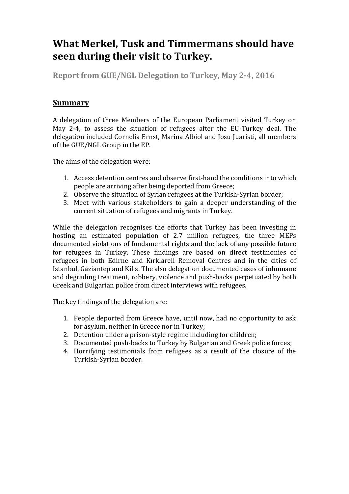# **What Merkel, Tusk and Timmermans should have seen during their visit to Turkey.**

**Report from GUE/NGL Delegation to Turkey, May 2-4, 2016**

# **Summary**

A delegation of three Members of the European Parliament visited Turkey on May 2-4, to assess the situation of refugees after the EU-Turkey deal. The delegation included Cornelia Ernst, Marina Albiol and Josu Juaristi, all members of the GUE/NGL Group in the EP.

The aims of the delegation were:

- 1. Access detention centres and observe first-hand the conditions into which people are arriving after being deported from Greece;
- 2. Observe the situation of Syrian refugees at the Turkish-Syrian border;
- 3. Meet with various stakeholders to gain a deeper understanding of the current situation of refugees and migrants in Turkey.

While the delegation recognises the efforts that Turkey has been investing in hosting an estimated population of 2.7 million refugees, the three MEPs documented violations of fundamental rights and the lack of any possible future for refugees in Turkey. These findings are based on direct testimonies of refugees in both Edirne and Kırklareli Removal Centres and in the cities of Istanbul, Gaziantep and Kilis. The also delegation documented cases of inhumane and degrading treatment, robbery, violence and push-backs perpetuated by both Greek and Bulgarian police from direct interviews with refugees.

The key findings of the delegation are:

- 1. People deported from Greece have, until now, had no opportunity to ask for asylum, neither in Greece nor in Turkey;
- 2. Detention under a prison-style regime including for children;
- 3. Documented push-backs to Turkey by Bulgarian and Greek police forces;
- 4. Horrifying testimonials from refugees as a result of the closure of the Turkish-Syrian border.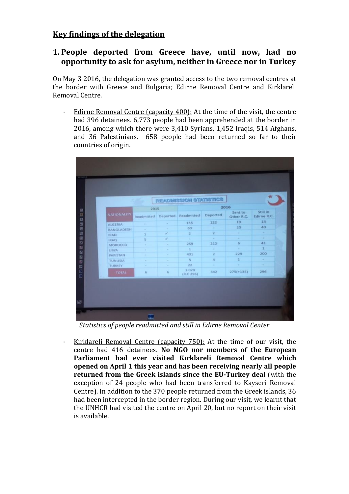# **Key findings of the delegation**

### **1. People deported from Greece have, until now, had no opportunity to ask for asylum, neither in Greece nor in Turkey**

On May 3 2016, the delegation was granted access to the two removal centres at the border with Greece and Bulgaria; Edirne Removal Centre and Kırklareli Removal Centre.

Edirne Removal Centre (capacity 400): At the time of the visit, the centre had 396 detainees. 6,773 people had been apprehended at the border in 2016, among which there were 3,410 Syrians, 1,452 Iraqis, 514 Afghans, and 36 Palestinians. 658 people had been returned so far to their countries of origin.

|                    |             |        | <b><i>PEADMISSION STATISTICS</i></b> |                         |                       |                                |
|--------------------|-------------|--------|--------------------------------------|-------------------------|-----------------------|--------------------------------|
|                    | 2015        |        | 2016                                 |                         |                       |                                |
| <b>NATIONALITY</b> |             |        | Readmitted Deported Readmitted       | Deported                | Sent to<br>Other R.C. | Still in<br><b>Edirne R.C.</b> |
| <b>ALGERIA</b>     | w.          | $\sim$ | 155                                  | 122                     | 19 <sup>°</sup>       | 14                             |
| <b>BANGLADESH</b>  | $\sim$      | ÷      | 60                                   | $\sim$                  | 20                    | 40                             |
| <b>IRAN</b>        | ī.          | v      | $\overline{\mathbf{z}}$              | $\mathbf{z}$            | ×                     | <b>Service</b>                 |
| <b>IRAG</b>        | $5^{\circ}$ | ¥.     | $\sim$                               | $\sim$                  | ×                     | <b>Sec</b>                     |
| MOROCCO            | ÷.          | ×      | 259                                  | 212                     | $\sqrt{6}$            | 41                             |
| <b>AYBLE</b>       |             | $\sim$ | a.                                   | ×                       | ÷                     | $\mathbf{1}$                   |
| PAKISTAN           | ×.          | $\sim$ | 431                                  | $\overline{\mathbf{z}}$ | 229                   | 200                            |
| <b>TUNUSIA</b>     | $\sim$      | ×      | $\overline{\phantom{a}}$             | $\overline{A}$          | $\mathbf{1}$          | $\sim$                         |
| TURKEY             | ×.          | m.     | 22                                   | ٠                       | 78                    | ×                              |
| <b>TOTAL</b>       | 6           | 6      | 1.070<br>(R.C.296)                   | 342                     | $275(+135)$           | 296                            |

*Statistics of people readmitted and still in Edirne Removal Center*

Kırklareli Removal Centre (capacity 750): At the time of our visit, the centre had 416 detainees. **No NGO nor members of the European Parliament had ever visited Kırklareli Removal Centre which opened on April 1 this year and has been receiving nearly all people returned from the Greek islands since the EU-Turkey deal** (with the exception of 24 people who had been transferred to Kayseri Removal Centre). In addition to the 370 people returned from the Greek islands, 36 had been intercepted in the border region. During our visit, we learnt that the UNHCR had visited the centre on April 20, but no report on their visit is available.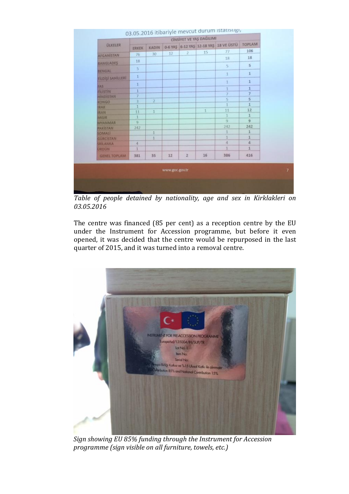| TOPLAM<br>0-6 YAŞ 6-12 YAŞ 12-18 YAŞ 18 VE ÜSTÜ<br><b><i><u>ULKELER</u></i></b><br>KADIN<br><b>ERKEK</b><br>106<br>77<br>15<br>2<br>12<br>30<br>76<br>18<br>18<br>18<br>5<br>5.<br>5<br>$\mathbf{1}$<br>1<br>1<br>$1\,$<br>1<br>1<br>$\mathbf 1$<br>1<br>$\overline{7}$<br>7<br>7<br>5<br>$\overline{5}$<br>$\overline{2}$<br>$\mathbf 1$<br>1<br>12<br>11<br>1<br>11<br>$1\,$<br>1<br>$\overline{9}$<br>Q<br>$\Omega$ |
|------------------------------------------------------------------------------------------------------------------------------------------------------------------------------------------------------------------------------------------------------------------------------------------------------------------------------------------------------------------------------------------------------------------------|
| <b>AFGANISTAN</b>                                                                                                                                                                                                                                                                                                                                                                                                      |
| <b>BANGLADES</b><br><b>BENGAL</b><br><b>FÍLDISÍ SAHÍLLERI</b><br>FAS<br><b>FILISTIN</b><br>HINDISTAN<br><b>KONGO</b><br><b>RAK</b><br>RAN<br><b>MISIR</b><br><b>MANNANN</b>                                                                                                                                                                                                                                            |
|                                                                                                                                                                                                                                                                                                                                                                                                                        |
|                                                                                                                                                                                                                                                                                                                                                                                                                        |
|                                                                                                                                                                                                                                                                                                                                                                                                                        |
|                                                                                                                                                                                                                                                                                                                                                                                                                        |
|                                                                                                                                                                                                                                                                                                                                                                                                                        |
|                                                                                                                                                                                                                                                                                                                                                                                                                        |
|                                                                                                                                                                                                                                                                                                                                                                                                                        |
|                                                                                                                                                                                                                                                                                                                                                                                                                        |
|                                                                                                                                                                                                                                                                                                                                                                                                                        |
|                                                                                                                                                                                                                                                                                                                                                                                                                        |
|                                                                                                                                                                                                                                                                                                                                                                                                                        |
| 242<br>242<br>242<br><b>PAKISTAN</b>                                                                                                                                                                                                                                                                                                                                                                                   |
| $\mathbf{1}$<br>1<br>1<br>SOMALI                                                                                                                                                                                                                                                                                                                                                                                       |
| t<br>$\bf 1$<br>ï<br><b>GÜRCISTAN</b>                                                                                                                                                                                                                                                                                                                                                                                  |
| $\overline{A}$<br>$\overline{a}$<br>$\sqrt{4}$<br><b>SRİLANKA</b>                                                                                                                                                                                                                                                                                                                                                      |
| 1<br>$\mathbf{1}$<br><b>URDUN</b><br>1                                                                                                                                                                                                                                                                                                                                                                                 |
| 16<br>386<br>416<br>$\overline{z}$<br>35<br>12<br>381<br><b>GENEL TOPLAM</b>                                                                                                                                                                                                                                                                                                                                           |

*Table of people detained by nationality, age and sex in Kirklakleri on 03.05.2016*

The centre was financed (85 per cent) as a reception centre by the EU under the Instrument for Accession programme, but before it even opened, it was decided that the centre would be repurposed in the last quarter of 2015, and it was turned into a removal centre.



*Sign showing EU 85% funding through the Instrument for Accession programme (sign visible on all furniture, towels, etc.)*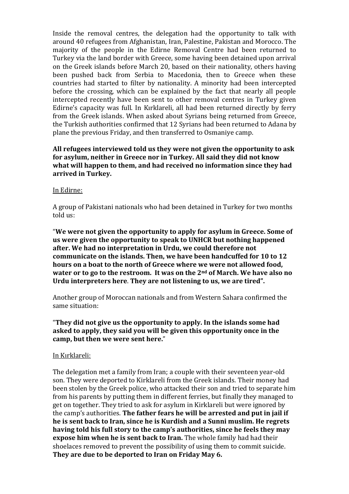Inside the removal centres, the delegation had the opportunity to talk with around 40 refugees from Afghanistan, Iran, Palestine, Pakistan and Morocco. The majority of the people in the Edirne Removal Centre had been returned to Turkey via the land border with Greece, some having been detained upon arrival on the Greek islands before March 20, based on their nationality, others having been pushed back from Serbia to Macedonia, then to Greece when these countries had started to filter by nationality. A minority had been intercepted before the crossing, which can be explained by the fact that nearly all people intercepted recently have been sent to other removal centres in Turkey given Edirne's capacity was full. In Kırklareli, all had been returned directly by ferry from the Greek islands. When asked about Syrians being returned from Greece, the Turkish authorities confirmed that 12 Syrians had been returned to Adana by plane the previous Friday, and then transferred to Osmaniye camp.

**All refugees interviewed told us they were not given the opportunity to ask for asylum, neither in Greece nor in Turkey. All said they did not know what will happen to them, and had received no information since they had arrived in Turkey.** 

#### In Edirne:

A group of Pakistani nationals who had been detained in Turkey for two months told us:

"**We were not given the opportunity to apply for asylum in Greece. Some of us were given the opportunity to speak to UNHCR but nothing happened after. We had no interpretation in Urdu, we could therefore not communicate on the islands. Then, we have been handcuffed for 10 to 12 hours on a boat to the north of Greece where we were not allowed food, water or to go to the restroom. It was on the 2nd of March. We have also no Urdu interpreters here**. **They are not listening to us, we are tired".**

Another group of Moroccan nationals and from Western Sahara confirmed the same situation:

#### "**They did not give us the opportunity to apply. In the islands some had asked to apply, they said you will be given this opportunity once in the camp, but then we were sent here.**"

#### In Kırklareli:

The delegation met a family from Iran; a couple with their seventeen year-old son. They were deported to Kirklareli from the Greek islands. Their money had been stolen by the Greek police, who attacked their son and tried to separate him from his parents by putting them in different ferries, but finally they managed to get on together. They tried to ask for asylum in Kirklareli but were ignored by the camp's authorities. **The father fears he will be arrested and put in jail if he is sent back to Iran, since he is Kurdish and a Sunni muslim. He regrets having told his full story to the camp's authorities, since he feels they may expose him when he is sent back to Iran.** The whole family had had their shoelaces removed to prevent the possibility of using them to commit suicide. **They are due to be deported to Iran on Friday May 6.**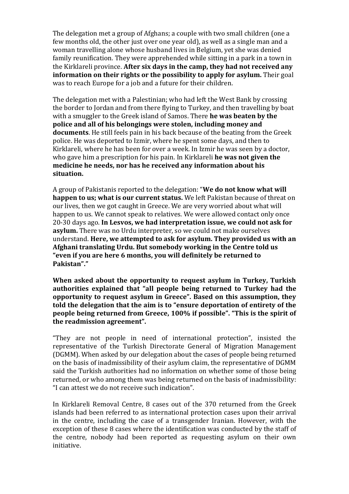The delegation met a group of Afghans; a couple with two small children (one a few months old, the other just over one year old), as well as a single man and a woman travelling alone whose husband lives in Belgium, yet she was denied family reunification. They were apprehended while sitting in a park in a town in the Kirklareli province. **After six days in the camp, they had not received any information on their rights or the possibility to apply for asylum.** Their goal was to reach Europe for a job and a future for their children.

The delegation met with a Palestinian; who had left the West Bank by crossing the border to Jordan and from there flying to Turkey, and then travelling by boat with a smuggler to the Greek island of Samos. There **he was beaten by the police and all of his belongings were stolen, including money and documents**. He still feels pain in his back because of the beating from the Greek police. He was deported to Izmir, where he spent some days, and then to Kirklareli, where he has been for over a week. In Izmir he was seen by a doctor, who gave him a prescription for his pain. In Kirklareli **he was not given the medicine he needs, nor has he received any information about his situation.**

A group of Pakistanis reported to the delegation: "**We do not know what will happen to us; what is our current status.** We left Pakistan because of threat on our lives, then we got caught in Greece. We are very worried about what will happen to us. We cannot speak to relatives. We were allowed contact only once 20-30 days ago. **In Lesvos, we had interpretation issue, we could not ask for asylum.** There was no Urdu interpreter, so we could not make ourselves understand. **Here, we attempted to ask for asylum. They provided us with an Afghani translating Urdu. But somebody working in the Centre told us "even if you are here 6 months, you will definitely be returned to Pakistan"."**

**When asked about the opportunity to request asylum in Turkey, Turkish authorities explained that "all people being returned to Turkey had the opportunity to request asylum in Greece". Based on this assumption, they told the delegation that the aim is to "ensure deportation of entirety of the people being returned from Greece, 100% if possible". "This is the spirit of the readmission agreement".**

"They are not people in need of international protection", insisted the representative of the Turkish Directorate General of Migration Management (DGMM). When asked by our delegation about the cases of people being returned on the basis of inadmissibility of their asylum claim, the representative of DGMM said the Turkish authorities had no information on whether some of those being returned, or who among them was being returned on the basis of inadmissibility: "I can attest we do not receive such indication".

In Kirklareli Removal Centre, 8 cases out of the 370 returned from the Greek islands had been referred to as international protection cases upon their arrival in the centre, including the case of a transgender Iranian. However, with the exception of these 8 cases where the identification was conducted by the staff of the centre, nobody had been reported as requesting asylum on their own initiative.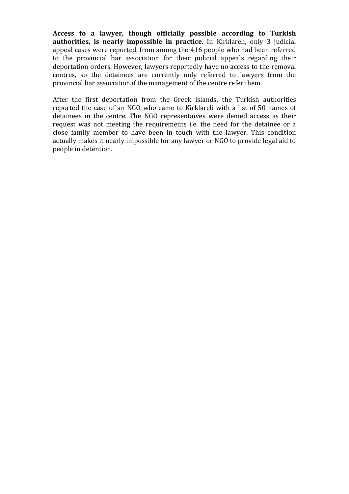**Access to a lawyer, though officially possible according to Turkish authorities, is nearly impossible in practice**. In Kirklareli, only 3 judicial appeal cases were reported, from among the 416 people who had been referred to the provincial bar association for their judicial appeals regarding their deportation orders. However, lawyers reportedly have no access to the removal centres, so the detainees are currently only referred to lawyers from the provincial bar association if the management of the centre refer them.

After the first deportation from the Greek islands, the Turkish authorities reported the case of an NGO who came to Kirklareli with a list of 50 names of detainees in the centre. The NGO representaives were denied access as their request was not meeting the requirements i.e. the need for the detainee or a close family member to have been in touch with the lawyer. This condition actually makes it nearly impossible for any lawyer or NGO to provide legal aid to people in detention.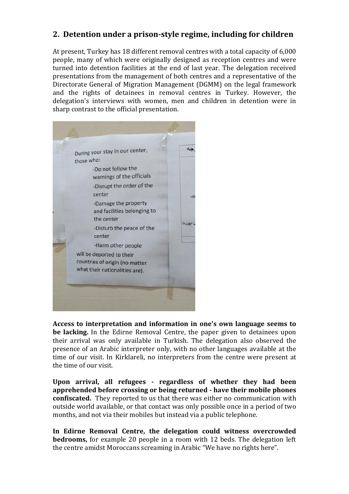# **2. Detention under a prison-style regime, including for children**

At present, Turkey has 18 different removal centres with a total capacity of 6,000 people, many of which were originally designed as reception centres and were turned into detention facilities at the end of last year. The delegation received presentations from the management of both centres and a representative of the Directorate General of Migration Management (DGMM) on the legal framework and the rights of detainees in removal centres in Turkey. However, the delegation's interviews with women, men and children in detention were in sharp contrast to the official presentation.



**Access to interpretation and information in one's own language seems to be lacking.** In the Edirne Removal Centre, the paper given to detainees upon their arrival was only available in Turkish. The delegation also observed the presence of an Arabic interpreter only, with no other languages available at the time of our visit. In Kirklareli, no interpreters from the centre were present at the time of our visit.

**Upon arrival, all refugees - regardless of whether they had been apprehended before crossing or being returned - have their mobile phones confiscated.** They reported to us that there was either no communication with outside world available, or that contact was only possible once in a period of two months, and not via their mobiles but instead via a public telephone.

**In Edirne Removal Centre, the delegation could witness overcrowded bedrooms,** for example 20 people in a room with 12 beds. The delegation left the centre amidst Moroccans screaming in Arabic "We have no rights here".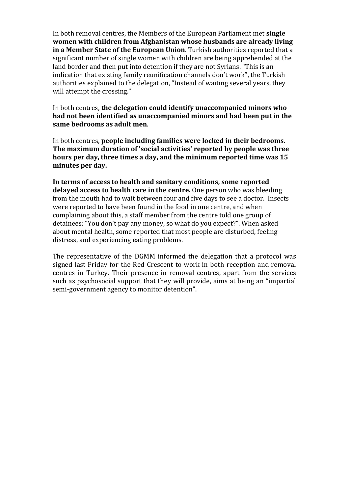In both removal centres, the Members of the European Parliament met **single women with children from Afghanistan whose husbands are already living in a Member State of the European Union**. Turkish authorities reported that a significant number of single women with children are being apprehended at the land border and then put into detention if they are not Syrians. "This is an indication that existing family reunification channels don't work", the Turkish authorities explained to the delegation, "Instead of waiting several years, they will attempt the crossing."

In both centres, **the delegation could identify unaccompanied minors who had not been identified as unaccompanied minors and had been put in the same bedrooms as adult men**.

In both centres, **people including families were locked in their bedrooms. The maximum duration of 'social activities' reported by people was three hours per day, three times a day, and the minimum reported time was 15 minutes per day.**

**In terms of access to health and sanitary conditions, some reported delayed access to health care in the centre.** One person who was bleeding from the mouth had to wait between four and five days to see a doctor.Insects were reported to have been found in the food in one centre, and when complaining about this, a staff member from the centre told one group of detainees: "You don't pay any money, so what do you expect?". When asked about mental health, some reported that most people are disturbed, feeling distress, and experiencing eating problems.

The representative of the DGMM informed the delegation that a protocol was signed last Friday for the Red Crescent to work in both reception and removal centres in Turkey. Their presence in removal centres, apart from the services such as psychosocial support that they will provide, aims at being an "impartial semi-government agency to monitor detention".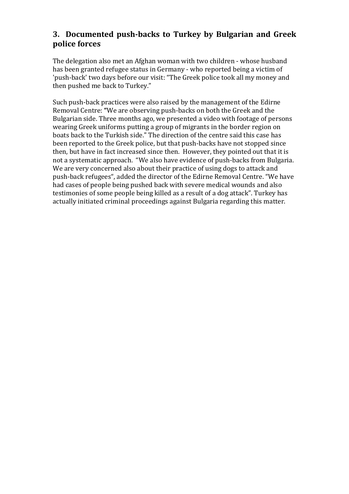# **3. Documented push-backs to Turkey by Bulgarian and Greek police forces**

The delegation also met an Afghan woman with two children - whose husband has been granted refugee status in Germany - who reported being a victim of 'push-back' two days before our visit: "The Greek police took all my money and then pushed me back to Turkey."

Such push-back practices were also raised by the management of the Edirne Removal Centre: **"**We are observing push-backs on both the Greek and the Bulgarian side. Three months ago, we presented a video with footage of persons wearing Greek uniforms putting a group of migrants in the border region on boats back to the Turkish side." The direction of the centre said this case has been reported to the Greek police, but that push-backs have not stopped since then, but have in fact increased since then. However, they pointed out that it is not a systematic approach. "We also have evidence of push-backs from Bulgaria. We are very concerned also about their practice of using dogs to attack and push-back refugees", added the director of the Edirne Removal Centre. "We have had cases of people being pushed back with severe medical wounds and also testimonies of some people being killed as a result of a dog attack". Turkey has actually initiated criminal proceedings against Bulgaria regarding this matter.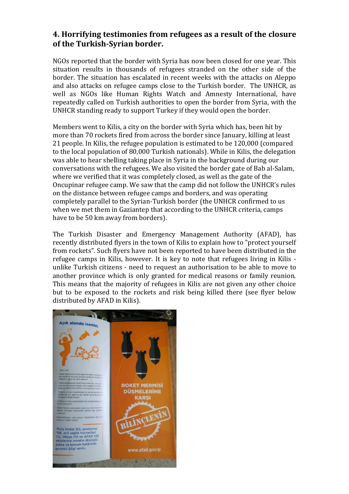# **4. Horrifying testimonies from refugees as a result of the closure of the Turkish-Syrian border.**

NGOs reported that the border with Syria has now been closed for one year. This situation results in thousands of refugees stranded on the other side of the border. The situation has escalated in recent weeks with the attacks on Aleppo and also attacks on refugee camps close to the Turkish border. The UNHCR, as well as NGOs like Human Rights Watch and Amnesty International, have repeatedly called on Turkish authorities to open the border from Syria, with the UNHCR standing ready to support Turkey if they would open the border.

Members went to Kilis, a city on the border with Syria which has, been hit by more than 70 rockets fired from across the border since January, killing at least 21 people. In Kilis, the refugee population is estimated to be 120,000 (compared to the local population of 80,000 Turkish nationals). While in Kilis, the delegation was able to hear shelling taking place in Syria in the background during our conversations with the refugees. We also visited the border gate of Bab al-Salam, where we verified that it was completely closed, as well as the gate of the Oncupinar refugee camp. We saw that the camp did not follow the UNHCR's rules on the distance between refugee camps and borders, and was operating completely parallel to the Syrian-Turkish border (the UNHCR confirmed to us when we met them in Gaziantep that according to the UNHCR criteria, camps have to be 50 km away from borders).

The Turkish Disaster and Emergency Management Authority (AFAD), has recently distributed flyers in the town of Kilis to explain how to "protect yourself from rockets". Such flyers have not been reported to have been distributed in the refugee camps in Kilis, however. It is key to note that refugees living in Kilis unlike Turkish citizens - need to request an authorisation to be able to move to another province which is only granted for medical reasons or family reunion. This means that the majority of refugees in Kilis are not given any other choice but to be exposed to the rockets and risk being killed there (see flyer below distributed by AFAD in Kilis).

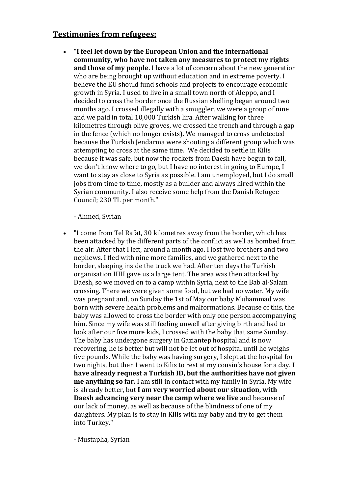### **Testimonies from refugees:**

 "**I feel let down by the European Union and the international community, who have not taken any measures to protect my rights and those of my people.** I have a lot of concern about the new generation who are being brought up without education and in extreme poverty. I believe the EU should fund schools and projects to encourage economic growth in Syria. I used to live in a small town north of Aleppo, and I decided to cross the border once the Russian shelling began around two months ago. I crossed illegally with a smuggler, we were a group of nine and we paid in total 10,000 Turkish lira. After walking for three kilometres through olive groves, we crossed the trench and through a gap in the fence (which no longer exists). We managed to cross undetected because the Turkish Jendarma were shooting a different group which was attempting to cross at the same time. We decided to settle in Kilis because it was safe, but now the rockets from Daesh have begun to fall, we don't know where to go, but I have no interest in going to Europe, I want to stay as close to Syria as possible. I am unemployed, but I do small jobs from time to time, mostly as a builder and always hired within the Syrian community. I also receive some help from the Danish Refugee Council; 230 TL per month."

- Ahmed, Syrian

 "I come from Tel Rafat, 30 kilometres away from the border, which has been attacked by the different parts of the conflict as well as bombed from the air. After that I left, around a month ago. I lost two brothers and two nephews. I fled with nine more families, and we gathered next to the border, sleeping inside the truck we had. After ten days the Turkish organisation IHH gave us a large tent. The area was then attacked by Daesh, so we moved on to a camp within Syria, next to the Bab al-Salam crossing. There we were given some food, but we had no water. My wife was pregnant and, on Sunday the 1st of May our baby Muhammad was born with severe health problems and malformations. Because of this, the baby was allowed to cross the border with only one person accompanying him. Since my wife was still feeling unwell after giving birth and had to look after our five more kids, I crossed with the baby that same Sunday. The baby has undergone surgery in Gaziantep hospital and is now recovering, he is better but will not be let out of hospital until he weighs five pounds. While the baby was having surgery, I slept at the hospital for two nights, but then I went to Kilis to rest at my cousin's house for a day. **I have already request a Turkish ID, but the authorities have not given me anything so far.** I am still in contact with my family in Syria. My wife is already better, but **I am very worried about our situation, with Daesh advancing very near the camp where we live** and because of our lack of money, as well as because of the blindness of one of my daughters. My plan is to stay in Kilis with my baby and try to get them into Turkey."

- Mustapha, Syrian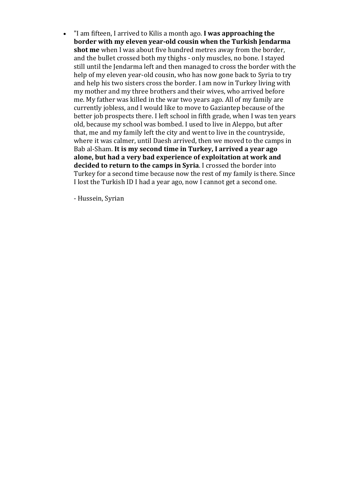"I am fifteen, I arrived to Kilis a month ago. **I was approaching the border with my eleven year-old cousin when the Turkish Jendarma shot me** when I was about five hundred metres away from the border, and the bullet crossed both my thighs - only muscles, no bone. I stayed still until the Jendarma left and then managed to cross the border with the help of my eleven year-old cousin, who has now gone back to Syria to try and help his two sisters cross the border. I am now in Turkey living with my mother and my three brothers and their wives, who arrived before me. My father was killed in the war two years ago. All of my family are currently jobless, and I would like to move to Gaziantep because of the better job prospects there. I left school in fifth grade, when I was ten years old, because my school was bombed. I used to live in Aleppo, but after that, me and my family left the city and went to live in the countryside, where it was calmer, until Daesh arrived, then we moved to the camps in Bab al-Sham. **It is my second time in Turkey, I arrived a year ago alone, but had a very bad experience of exploitation at work and decided to return to the camps in Syria**. I crossed the border into Turkey for a second time because now the rest of my family is there. Since I lost the Turkish ID I had a year ago, now I cannot get a second one.

- Hussein, Syrian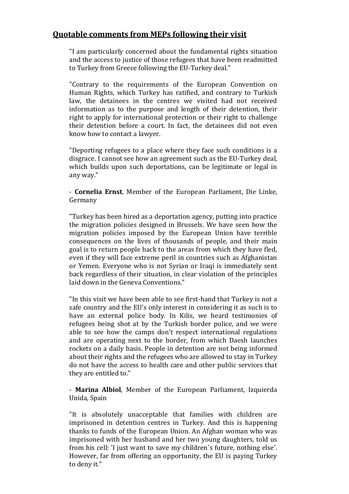#### **Quotable comments from MEPs following their visit**

"I am particularly concerned about the fundamental rights situation and the access to justice of those refugees that have been readmitted to Turkey from Greece following the EU-Turkey deal."

"Contrary to the requirements of the European Convention on Human Rights, which Turkey has ratified, and contrary to Turkish law, the detainees in the centres we visited had not received information as to the purpose and length of their detention, their right to apply for international protection or their right to challenge their detention before a court. In fact, the detainees did not even know how to contact a lawyer.

"Deporting refugees to a place where they face such conditions is a disgrace. I cannot see how an agreement such as the EU-Turkey deal, which builds upon such deportations, can be legitimate or legal in any way."

- **Cornelia Ernst**, Member of the European Parliament, Die Linke, Germany

"Turkey has been hired as a deportation agency, putting into practice the migration policies designed in Brussels. We have seen how the migration policies imposed by the European Union have terrible consequences on the lives of thousands of people, and their main goal is to return people back to the areas from which they have fled, even if they will face extreme peril in countries such as Afghanistan or Yemen. Everyone who is not Syrian or Iraqi is immediately sent back regardless of their situation, in clear violation of the principles laid down in the Geneva Conventions."

"In this visit we have been able to see first-hand that Turkey is not a safe country and the EU's only interest in considering it as such is to have an external police body. In Kilis, we heard testimonies of refugees being shot at by the Turkish border police, and we were able to see how the camps don't respect international regulations and are operating next to the border, from which Daesh launches rockets on a daily basis. People in detention are not being informed about their rights and the refugees who are allowed to stay in Turkey do not have the access to health care and other public services that they are entitled to."

- **Marina Albiol**, Member of the European Parliament, Izquierda Unida, Spain

"It is absolutely unacceptable that families with children are imprisoned in detention centres in Turkey. And this is happening thanks to funds of the European Union. An Afghan woman who was imprisoned with her husband and her two young daughters, told us from his cell: 'I just want to save my children´s future, nothing else'. However, far from offering an opportunity, the EU is paying Turkey to deny it."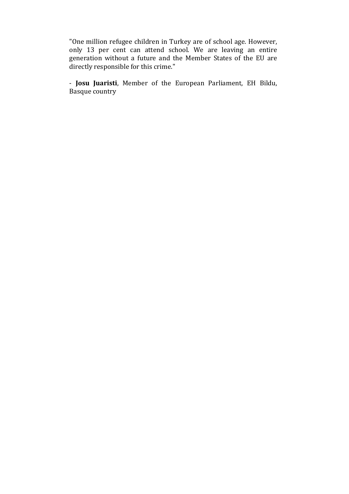"One million refugee children in Turkey are of school age. However, only 13 per cent can attend school. We are leaving an entire generation without a future and the Member States of the EU are directly responsible for this crime."

- **Josu Juaristi**, Member of the European Parliament, EH Bildu, Basque country